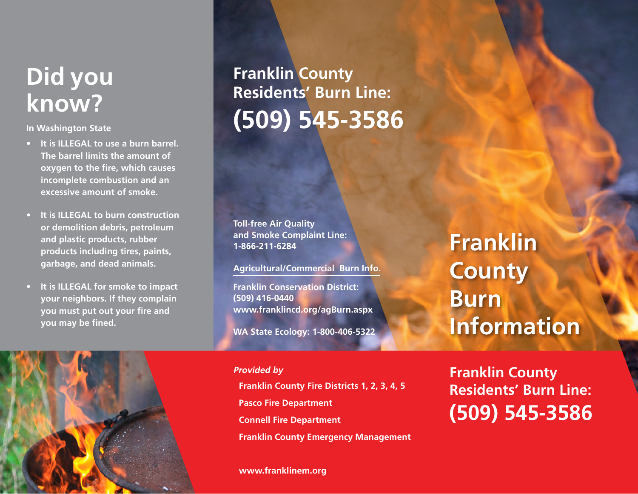# **Did you know?**

**In Washington State** 

- **• It is ILLEGAL to use a burn barrel. The barrel limits the amount of oxygen to the fire, which causes incomplete combustion and an excessive amount of smoke.**
- **• It is ILLEGAL to burn construction or demolition debris, petroleum and plastic products, rubber products including tires, paints, garbage, and dead animals.**
- **• It is ILLEGAL for smoke to impact your neighbors. If they complain you must put out your fire and you may be fined.**



# **Franklin County Residents' Burn Line: (509) 545-3586**

**Toll-free Air Quality and Smoke Complaint Line: 1-866-211-6284**

### **Agricultural/Commercial Burn Info.**

**Franklin Conservation District: (509) 416-0440 www.franklincd.org/agBurn.aspx**

**WA State Ecology: 1-800-406-5322**

**Franklin County Fire Districts 1, 2, 3, 4, 5 Pasco Fire Department Connell Fire Department Franklin County Emergency Management Provided by**

#### **www.franklinem.org**

**Franklin County Burn Information**

**Franklin County Residents' Burn Line: (509) 545-3586**